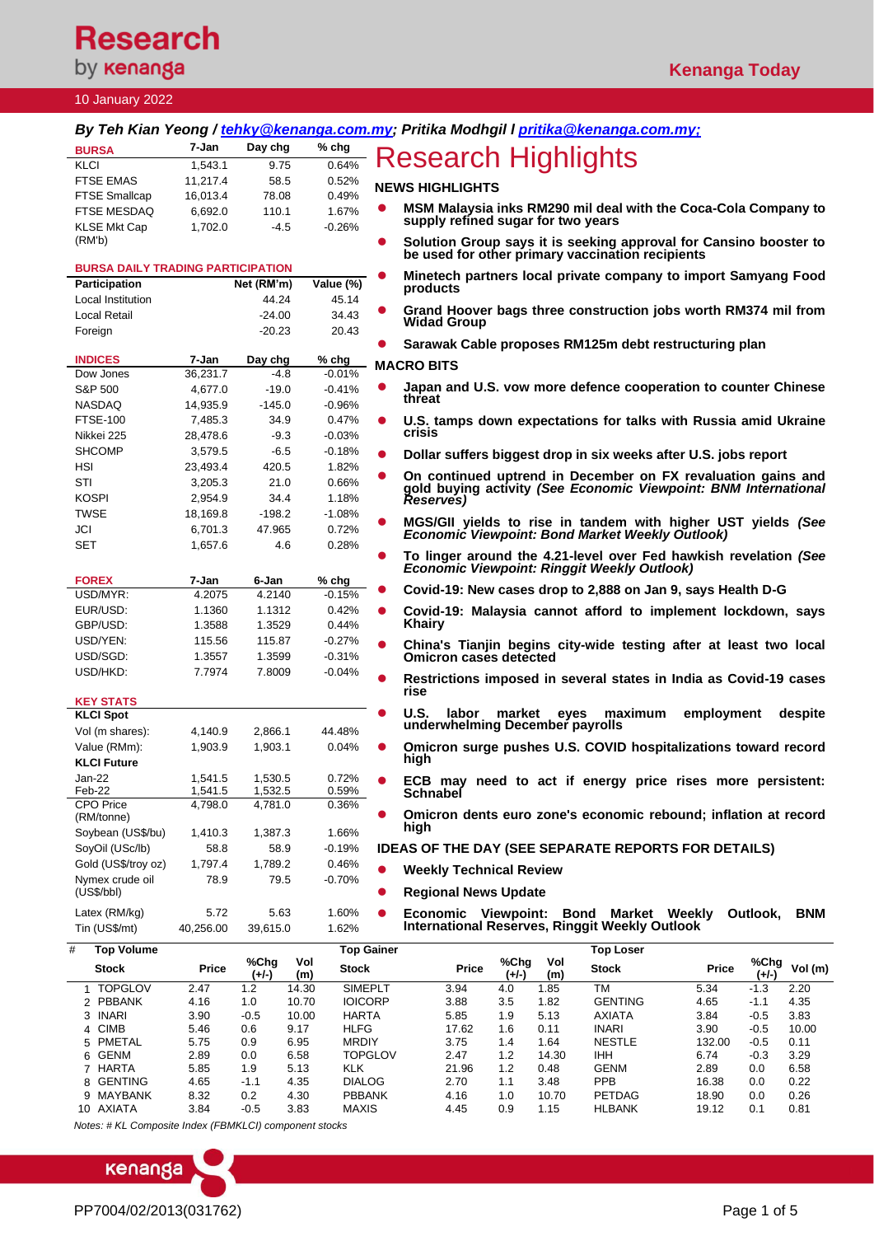# **Research** by **kenanga**

# **Kenanga Today**

### 10 January 2022

|                                          |                    |                            |                             | By Teh Kian Yeong / tehky@kenanga.com.my; Pritika Modhgil I pritika@kenanga.com.my;                                                 |  |  |  |  |
|------------------------------------------|--------------------|----------------------------|-----------------------------|-------------------------------------------------------------------------------------------------------------------------------------|--|--|--|--|
| <b>BURSA</b>                             | 7-Jan              | Day chg                    | $%$ chg                     |                                                                                                                                     |  |  |  |  |
| KLCI                                     | 1,543.1            | 9.75                       | 0.64%                       | Research Highlights                                                                                                                 |  |  |  |  |
| <b>FTSE EMAS</b>                         | 11,217.4           | 58.5                       | 0.52%                       |                                                                                                                                     |  |  |  |  |
| <b>FTSE Smallcap</b>                     | 16,013.4           | 78.08                      | 0.49%                       | <b>NEWS HIGHLIGHTS</b>                                                                                                              |  |  |  |  |
| FTSE MESDAQ                              | 6,692.0            | 110.1                      | 1.67%                       | MSM Malaysia inks RM290 mil deal with the Coca-Cola Company to                                                                      |  |  |  |  |
| <b>KLSE Mkt Cap</b>                      | 1.702.0            | $-4.5$                     | $-0.26%$                    | supply refined sugar for two years                                                                                                  |  |  |  |  |
| (RM'b)                                   |                    |                            |                             | Solution Group says it is seeking approval for Cansino booster to<br>$\bullet$                                                      |  |  |  |  |
|                                          |                    |                            |                             | be used for other primary vaccination recipients                                                                                    |  |  |  |  |
| <b>BURSA DAILY TRADING PARTICIPATION</b> |                    |                            |                             | Minetech partners local private company to import Samyang Food                                                                      |  |  |  |  |
| <b>Participation</b>                     |                    | Net (RM'm)                 | Value (%)                   | products                                                                                                                            |  |  |  |  |
| Local Institution                        |                    | 44.24                      | 45.14                       | Grand Hoover bags three construction jobs worth RM374 mil from<br>$\bullet$                                                         |  |  |  |  |
| <b>Local Retail</b>                      |                    | $-24.00$                   | 34.43                       | <b>Widad Group</b>                                                                                                                  |  |  |  |  |
| Foreign                                  |                    | $-20.23$                   | 20.43                       | Sarawak Cable proposes RM125m debt restructuring plan                                                                               |  |  |  |  |
| <b>INDICES</b>                           | 7-Jan              | Day chg                    | $%$ chg                     |                                                                                                                                     |  |  |  |  |
| Dow Jones                                | 36,231.7           | -4.8                       | $-0.01%$                    | <b>MACRO BITS</b>                                                                                                                   |  |  |  |  |
| S&P 500                                  | 4,677.0            | $-19.0$                    | $-0.41%$                    | Japan and U.S. vow more defence cooperation to counter Chinese                                                                      |  |  |  |  |
| <b>NASDAQ</b>                            | 14,935.9           | $-145.0$                   | $-0.96\%$                   | threat                                                                                                                              |  |  |  |  |
| <b>FTSE-100</b>                          | 7,485.3            | 34.9                       | 0.47%                       | U.S. tamps down expectations for talks with Russia amid Ukraine<br>$\bullet$                                                        |  |  |  |  |
| Nikkei 225                               | 28,478.6           | $-9.3$                     | $-0.03%$                    | crisis                                                                                                                              |  |  |  |  |
| <b>SHCOMP</b>                            | 3,579.5            | $-6.5$                     | $-0.18%$                    |                                                                                                                                     |  |  |  |  |
| HSI                                      | 23,493.4           | 420.5                      | 1.82%                       | Dollar suffers biggest drop in six weeks after U.S. jobs report<br>$\bullet$                                                        |  |  |  |  |
| STI                                      | 3,205.3            | 21.0                       | 0.66%                       | On continued uptrend in December on FX revaluation gains and                                                                        |  |  |  |  |
| <b>KOSPI</b>                             | 2,954.9            | 34.4                       | 1.18%                       | gold buying activity (See Economic Viewpoint: BNM International                                                                     |  |  |  |  |
| <b>TWSE</b>                              | 18,169.8           | $-198.2$                   | $-1.08%$                    | Reserves)                                                                                                                           |  |  |  |  |
| JCI                                      | 6,701.3            | 47.965                     | 0.72%                       | MGS/GII yields to rise in tandem with higher UST yields (See                                                                        |  |  |  |  |
|                                          |                    |                            |                             | Economic Viewpoint: Bond Market Weekly Outlook)                                                                                     |  |  |  |  |
| <b>SET</b>                               | 1,657.6            | 4.6                        | 0.28%                       | To linger around the 4.21-level over Fed hawkish revelation (See                                                                    |  |  |  |  |
|                                          |                    |                            |                             | <b>Economic Viewpoint: Ringgit Weekly Outlook)</b>                                                                                  |  |  |  |  |
| <b>FOREX</b>                             | 7-Jan              | 6-Jan                      | % chg                       |                                                                                                                                     |  |  |  |  |
| USD/MYR:                                 | 4.2075             | 4.2140                     | $-0.15%$                    | Covid-19: New cases drop to 2,888 on Jan 9, says Health D-G                                                                         |  |  |  |  |
| EUR/USD:                                 | 1.1360             | 1.1312                     | 0.42%                       | Covid-19: Malaysia cannot afford to implement lockdown, says<br>$\bullet$                                                           |  |  |  |  |
| GBP/USD:                                 | 1.3588             | 1.3529                     | 0.44%                       | <b>Khairy</b>                                                                                                                       |  |  |  |  |
| USD/YEN:                                 | 115.56             | 115.87                     | $-0.27%$                    | China's Tianjin begins city-wide testing after at least two local<br>$\bullet$                                                      |  |  |  |  |
| USD/SGD:                                 | 1.3557             | 1.3599                     | $-0.31%$                    | <b>Omicron cases detected</b>                                                                                                       |  |  |  |  |
| USD/HKD:                                 | 7.7974             | 7.8009                     | $-0.04%$                    | Restrictions imposed in several states in India as Covid-19 cases                                                                   |  |  |  |  |
|                                          |                    |                            |                             | rise                                                                                                                                |  |  |  |  |
| <b>KEY STATS</b>                         |                    |                            |                             | U.S.<br>labor<br>market<br>maximum<br>employment<br>despite<br>eyes                                                                 |  |  |  |  |
| <b>KLCI Spot</b>                         |                    |                            |                             | underwhelming December payrolls                                                                                                     |  |  |  |  |
| Vol (m shares):                          | 4,140.9            | 2,866.1                    | 44.48%                      |                                                                                                                                     |  |  |  |  |
| Value (RMm):                             | 1,903.9            | 1,903.1                    | 0.04%                       | Omicron surge pushes U.S. COVID hospitalizations toward record<br>high                                                              |  |  |  |  |
| <b>KLCI Future</b>                       |                    |                            |                             |                                                                                                                                     |  |  |  |  |
| $Jan-22$<br>Feb-22                       | 1,541.5<br>1,541.5 | 1,530.5<br>1,532.5         | 0.72%<br>0.59%              | ECB may need to act if energy price rises more persistent:                                                                          |  |  |  |  |
| <b>CPO Price</b>                         | 4,798.0            | 4,781.0                    | 0.36%                       | <b>Schnabel</b>                                                                                                                     |  |  |  |  |
| (RM/tonne)                               |                    |                            |                             | Omicron dents euro zone's economic rebound; inflation at record<br>$\bullet$                                                        |  |  |  |  |
| Soybean (US\$/bu)                        | 1,410.3            | 1,387.3                    | 1.66%                       | high                                                                                                                                |  |  |  |  |
| SoyOil (USc/lb)                          | 58.8               | 58.9                       | $-0.19%$                    | <b>IDEAS OF THE DAY (SEE SEPARATE REPORTS FOR DETAILS)</b>                                                                          |  |  |  |  |
| Gold (US\$/troy oz)                      | 1,797.4            | 1,789.2                    | 0.46%                       |                                                                                                                                     |  |  |  |  |
| Nymex crude oil                          | 78.9               | 79.5                       | -0.70%                      | <b>Weekly Technical Review</b><br>$\bullet$                                                                                         |  |  |  |  |
| (US\$/bb)                                |                    |                            |                             | <b>Regional News Update</b><br>$\bullet$                                                                                            |  |  |  |  |
| Latex (RM/kg)                            | 5.72               | 5.63                       | 1.60%                       | <b>Bond Market Weekly</b><br>Outlook.<br>$\bullet$                                                                                  |  |  |  |  |
| Tin (US\$/mt)                            | 40,256.00          | 39,615.0                   | 1.62%                       | Economic Viewpoint:<br><b>BNM</b><br><b>International Reserves, Ringgit Weekly Outlook</b>                                          |  |  |  |  |
|                                          |                    |                            |                             |                                                                                                                                     |  |  |  |  |
| #<br><b>Top Volume</b>                   |                    | %Chg                       | <b>Top Gainer</b><br>Vol    | <b>Top Loser</b><br>%Chg<br>%Chg<br>Vol                                                                                             |  |  |  |  |
| Stock                                    | Price              | $(+/-)$                    | <b>Stock</b><br>(m)         | Vol (m)<br>Price<br>Stock<br>Price<br>$(+/-)$<br>(m)<br>$(+/-)$                                                                     |  |  |  |  |
| 1 TOPGLOV                                | 2.47               | 1.2                        | <b>SIMEPLT</b><br>14.30     | <b>TM</b><br>3.94<br>5.34<br>4.0<br>1.85<br>$-1.3$<br>2.20                                                                          |  |  |  |  |
| 2 PBBANK                                 | 4.16               | 1.0                        | <b>IOICORP</b><br>10.70     | <b>GENTING</b><br>4.35<br>3.88<br>3.5<br>1.82<br>4.65<br>$-1.1$                                                                     |  |  |  |  |
| 3 INARI                                  | 3.90               | $-0.5$                     | 10.00<br><b>HARTA</b>       | 5.85<br>1.9<br>5.13<br><b>AXIATA</b><br>3.84<br>$-0.5$<br>3.83                                                                      |  |  |  |  |
| 4 CIMB<br>5 PMETAL                       | 5.46<br>5.75       | 0.6<br>9.17<br>0.9<br>6.95 | <b>HLFG</b><br><b>MRDIY</b> | 17.62<br>0.11<br><b>INARI</b><br>3.90<br>$-0.5$<br>10.00<br>1.6<br>3.75<br>1.4<br>1.64<br><b>NESTLE</b><br>132.00<br>$-0.5$<br>0.11 |  |  |  |  |
| 6 GENM                                   | 2.89               | 6.58<br>$0.0\,$            | <b>TOPGLOV</b>              | 2.47<br>1.2<br>6.74<br>3.29<br>14.30<br>IHH<br>$-0.3$                                                                               |  |  |  |  |
| 7 HARTA                                  | 5.85               | 1.9<br>5.13                | KLK                         | 21.96<br>1.2<br>0.48<br><b>GENM</b><br>2.89<br>0.0<br>6.58                                                                          |  |  |  |  |
| 8 GENTING                                | 4.65               | 4.35<br>-1.1               | <b>DIALOG</b>               | PPB<br>2.70<br>1.1<br>16.38<br>0.22<br>3.48<br>0.0                                                                                  |  |  |  |  |

9 MAYBANK 8.32 0.2 4.30 PBBANK 4.16 1.0 10.70 PETDAG 18.90 0.0 0.26 10 AXIATA 3.84 -0.5 3.83 MAXIS 4.45 0.9 1.15 HLBANK 19.12 0.1 0.81

*Notes: # KL Composite Index (FBMKLCI) component stocks*

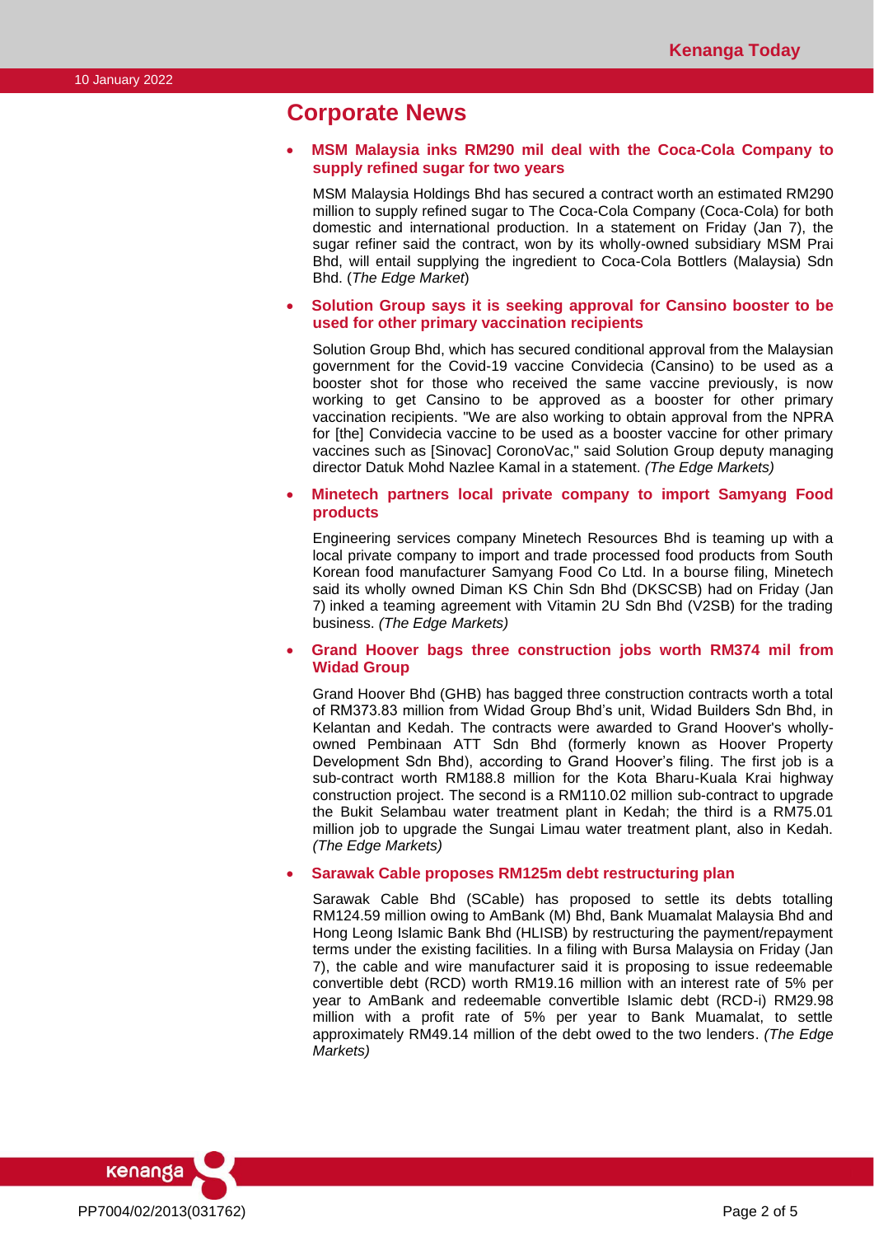### **Corporate News**

#### • **MSM Malaysia inks RM290 mil deal with the Coca-Cola Company to supply refined sugar for two years**

MSM Malaysia Holdings Bhd has secured a contract worth an estimated RM290 million to supply refined sugar to The Coca-Cola Company (Coca-Cola) for both domestic and international production. In a statement on Friday (Jan 7), the sugar refiner said the contract, won by its wholly-owned subsidiary MSM Prai Bhd, will entail supplying the ingredient to Coca-Cola Bottlers (Malaysia) Sdn Bhd. (*The Edge Market*)

### • **Solution Group says it is seeking approval for Cansino booster to be used for other primary vaccination recipients**

Solution Group Bhd, which has secured conditional approval from the Malaysian government for the Covid-19 vaccine Convidecia (Cansino) to be used as a booster shot for those who received the same vaccine previously, is now working to get Cansino to be approved as a booster for other primary vaccination recipients. "We are also working to obtain approval from the NPRA for [the] Convidecia vaccine to be used as a booster vaccine for other primary vaccines such as [Sinovac] CoronoVac," said Solution Group deputy managing director Datuk Mohd Nazlee Kamal in a statement. *(The Edge Markets)*

#### • **Minetech partners local private company to import Samyang Food products**

Engineering services company Minetech Resources Bhd is teaming up with a local private company to import and trade processed food products from South Korean food manufacturer Samyang Food Co Ltd. In a bourse filing, Minetech said its wholly owned Diman KS Chin Sdn Bhd (DKSCSB) had on Friday (Jan 7) inked a teaming agreement with Vitamin 2U Sdn Bhd (V2SB) for the trading business. *(The Edge Markets)*

### • **Grand Hoover bags three construction jobs worth RM374 mil from Widad Group**

Grand Hoover Bhd (GHB) has bagged three construction contracts worth a total of RM373.83 million from Widad Group Bhd's unit, Widad Builders Sdn Bhd, in Kelantan and Kedah. The contracts were awarded to Grand Hoover's whollyowned Pembinaan ATT Sdn Bhd (formerly known as Hoover Property Development Sdn Bhd), according to Grand Hoover's filing. The first job is a sub-contract worth RM188.8 million for the Kota Bharu-Kuala Krai highway construction project. The second is a RM110.02 million sub-contract to upgrade the Bukit Selambau water treatment plant in Kedah; the third is a RM75.01 million job to upgrade the Sungai Limau water treatment plant, also in Kedah. *(The Edge Markets)*

#### • **Sarawak Cable proposes RM125m debt restructuring plan**

Sarawak Cable Bhd (SCable) has proposed to settle its debts totalling RM124.59 million owing to AmBank (M) Bhd, Bank Muamalat Malaysia Bhd and Hong Leong Islamic Bank Bhd (HLISB) by restructuring the payment/repayment terms under the existing facilities. In a filing with Bursa Malaysia on Friday (Jan 7), the cable and wire manufacturer said it is proposing to issue redeemable convertible debt (RCD) worth RM19.16 million with an interest rate of 5% per year to AmBank and redeemable convertible Islamic debt (RCD-i) RM29.98 million with a profit rate of 5% per year to Bank Muamalat, to settle approximately RM49.14 million of the debt owed to the two lenders. *(The Edge Markets)*

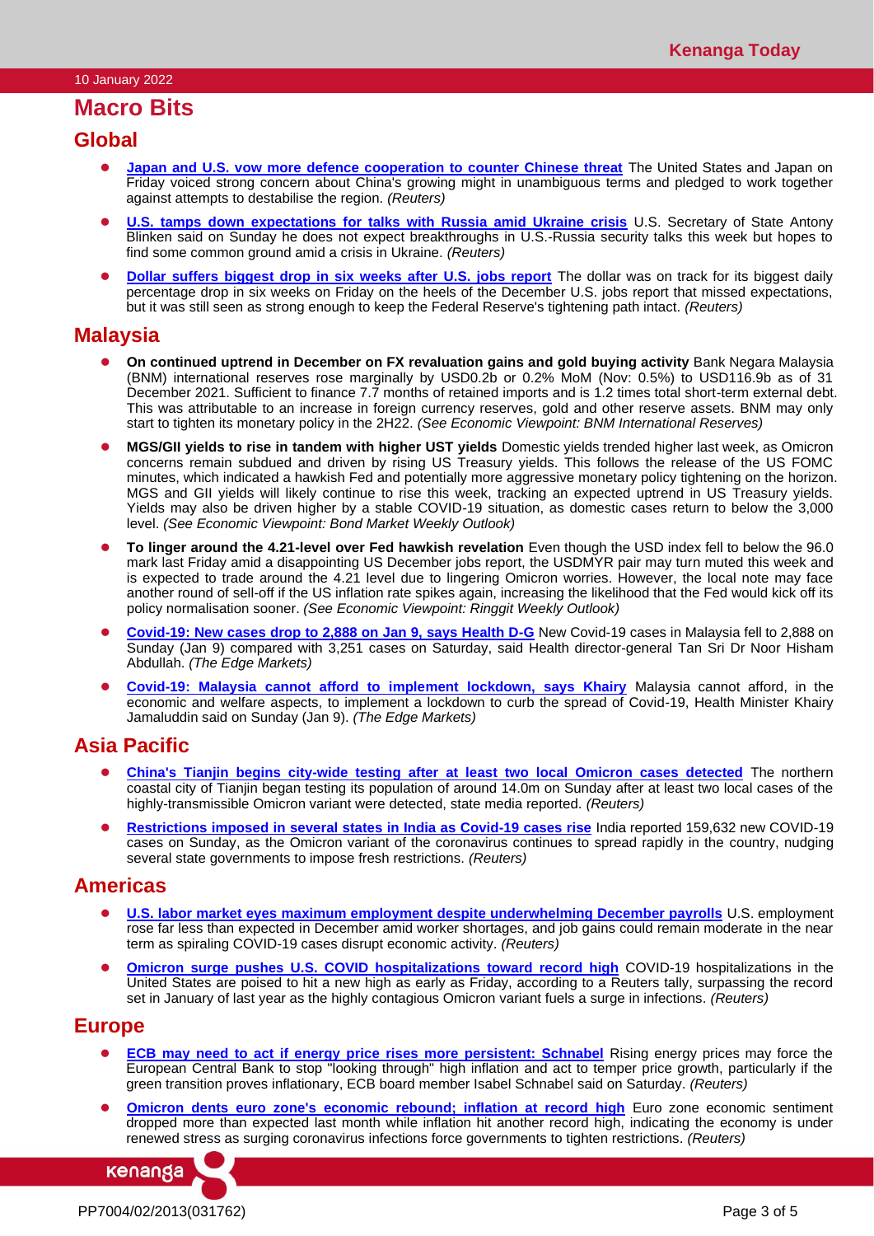# **Macro Bits**

## **Global**

- **[Japan and U.S. vow more defence cooperation to counter Chinese threat](https://www.reuters.com/world/asia-pacific/us-japan-launch-new-defense-research-development-agreement-2022-01-06/)** The United States and Japan on Friday voiced strong concern about China's growing might in unambiguous terms and pledged to work together against attempts to destabilise the region. *(Reuters)*
- ⚫ **[U.S. tamps down expectations for talks with Russia amid Ukraine crisis](https://www.reuters.com/world/us-tamps-down-expectations-talks-with-russia-amid-ukraine-crisis-2022-01-09/)** U.S. Secretary of State Antony Blinken said on Sunday he does not expect breakthroughs in U.S.-Russia security talks this week but hopes to find some common ground amid a crisis in Ukraine. *(Reuters)*
- **[Dollar suffers biggest drop in six weeks after U.S. jobs report](https://www.reuters.com/markets/europe/dollar-suffers-biggest-drop-six-weeks-after-us-jobs-report-2022-01-07/)** The dollar was on track for its biggest daily percentage drop in six weeks on Friday on the heels of the December U.S. jobs report that missed expectations, but it was still seen as strong enough to keep the Federal Reserve's tightening path intact. *(Reuters)*

## **Malaysia**

- ⚫ **On continued uptrend in December on FX revaluation gains and gold buying activity** Bank Negara Malaysia (BNM) international reserves rose marginally by USD0.2b or 0.2% MoM (Nov: 0.5%) to USD116.9b as of 31 December 2021. Sufficient to finance 7.7 months of retained imports and is 1.2 times total short-term external debt. This was attributable to an increase in foreign currency reserves, gold and other reserve assets. BNM may only start to tighten its monetary policy in the 2H22. *(See Economic Viewpoint: BNM International Reserves)*
- **MGS/GII yields to rise in tandem with higher UST yields** Domestic yields trended higher last week, as Omicron concerns remain subdued and driven by rising US Treasury yields. This follows the release of the US FOMC minutes, which indicated a hawkish Fed and potentially more aggressive monetary policy tightening on the horizon. MGS and GII yields will likely continue to rise this week, tracking an expected uptrend in US Treasury yields. Yields may also be driven higher by a stable COVID-19 situation, as domestic cases return to below the 3,000 level. *(See Economic Viewpoint: Bond Market Weekly Outlook)*
- ⚫ **To linger around the 4.21-level over Fed hawkish revelation** Even though the USD index fell to below the 96.0 mark last Friday amid a disappointing US December jobs report, the USDMYR pair may turn muted this week and is expected to trade around the 4.21 level due to lingering Omicron worries. However, the local note may face another round of sell-off if the US inflation rate spikes again, increasing the likelihood that the Fed would kick off its policy normalisation sooner. *(See Economic Viewpoint: Ringgit Weekly Outlook)*
- ⚫ **[Covid-19: New cases drop to 2,888 on Jan 9, says Health D-G](https://www.theedgemarkets.com/article/covid19-2888-new-cases-reported-jan-9-2022-says-health-dg)** New Covid-19 cases in Malaysia fell to 2,888 on Sunday (Jan 9) compared with 3,251 cases on Saturday, said Health director-general Tan Sri Dr Noor Hisham Abdullah. *(The Edge Markets)*
- ⚫ **[Covid-19: Malaysia cannot afford to implement lockdown, says Khairy](https://www.theedgemarkets.com/article/covid19-malaysia-cannot-afford-implement-lockdown-says-khairy)** Malaysia cannot afford, in the economic and welfare aspects, to implement a lockdown to curb the spread of Covid-19, Health Minister Khairy Jamaluddin said on Sunday (Jan 9). *(The Edge Markets)*

# **Asia Pacific**

- ⚫ **[China's Tianjin begins city-wide testing after at least two local Omicron cases detected](https://www.reuters.com/business/healthcare-pharmaceuticals/china-reports-165-new-covid-19-cases-jan-8-omicron-cases-reported-tianjin-2022-01-09/)** The northern coastal city of Tianjin began testing its population of around 14.0m on Sunday after at least two local cases of the highly-transmissible Omicron variant were detected, state media reported. *(Reuters)*
- ⚫ **[Restrictions imposed in several states in India as Covid-19 cases rise](https://www.reuters.com/world/india/indias-total-covid-19-cases-reach-3552-mln-health-ministry-2022-01-09/)** India reported 159,632 new COVID-19 cases on Sunday, as the Omicron variant of the coronavirus continues to spread rapidly in the country, nudging several state governments to impose fresh restrictions. *(Reuters)*

# **Americas**

- **[U.S. labor market eyes maximum employment despite underwhelming December payrolls](https://www.reuters.com/markets/us/us-employment-growth-misses-expectations-unemployment-rate-falls-39-2022-01-07/) U.S. employment** rose far less than expected in December amid worker shortages, and job gains could remain moderate in the near term as spiraling COVID-19 cases disrupt economic activity. *(Reuters)*
- **[Omicron surge pushes U.S. COVID hospitalizations toward record high](https://www.reuters.com/world/us/omicron-pushes-us-covid-hospitalizations-toward-record-high-2022-01-07/)** COVID-19 hospitalizations in the United States are poised to hit a new high as early as Friday, according to a Reuters tally, surpassing the record set in January of last year as the highly contagious Omicron variant fuels a surge in infections. *(Reuters)*

## **Europe**

- **[ECB may need to act if energy price rises more persistent: Schnabel](https://www.reuters.com/business/energy/ecb-may-need-act-if-energy-price-rises-more-persistent-schnabel-2022-01-08/)** Rising energy prices may force the European Central Bank to stop "looking through" high inflation and act to temper price growth, particularly if the green transition proves inflationary, ECB board member Isabel Schnabel said on Saturday. *(Reuters)*
- **[Omicron dents euro zone's economic rebound; inflation at record high](https://www.reuters.com/business/omicron-dents-euro-zones-economic-rebound-inflation-record-high-2022-01-07/)** Euro zone economic sentiment dropped more than expected last month while inflation hit another record high, indicating the economy is under renewed stress as surging coronavirus infections force governments to tighten restrictions. *(Reuters)*

kenanga

PP7004/02/2013(031762) Page 3 of 5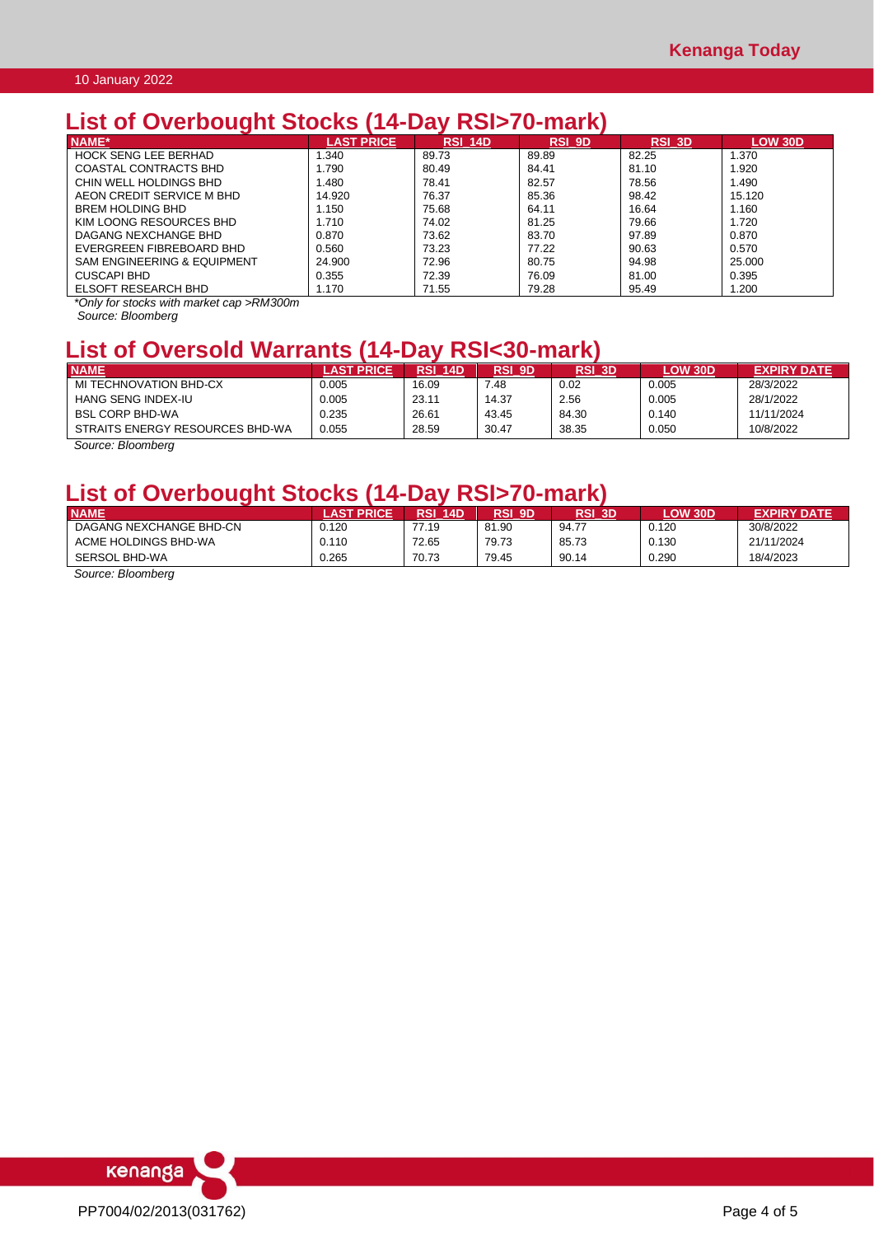# **List of Overbought Stocks (14-Day RSI>70-mark)**

| $\overline{\phantom{a}}$               |                    |                |               |        |                |
|----------------------------------------|--------------------|----------------|---------------|--------|----------------|
| NAME*                                  | <b>LAST PRICE.</b> | <b>RSI 14D</b> | <b>RSI 9D</b> | RSI 3D | <b>LOW 30D</b> |
| <b>HOCK SENG LEE BERHAD</b>            | .340               | 89.73          | 89.89         | 82.25  | .370           |
| COASTAL CONTRACTS BHD                  | 1.790              | 80.49          | 84.41         | 81.10  | .920           |
| CHIN WELL HOLDINGS BHD                 | .480               | 78.41          | 82.57         | 78.56  | .490           |
| AEON CREDIT SERVICE M BHD              | 14.920             | 76.37          | 85.36         | 98.42  | 15.120         |
| <b>BREM HOLDING BHD</b>                | .150               | 75.68          | 64.11         | 16.64  | 1.160          |
| KIM LOONG RESOURCES BHD                | .710               | 74.02          | 81.25         | 79.66  | .720           |
| DAGANG NEXCHANGE BHD                   | 0.870              | 73.62          | 83.70         | 97.89  | 0.870          |
| EVERGREEN FIBREBOARD BHD               | 0.560              | 73.23          | 77.22         | 90.63  | 0.570          |
| <b>SAM ENGINEERING &amp; EQUIPMENT</b> | 24.900             | 72.96          | 80.75         | 94.98  | 25.000         |
| <b>CUSCAPI BHD</b>                     | 0.355              | 72.39          | 76.09         | 81.00  | 0.395          |
| <b>ELSOFT RESEARCH BHD</b>             | 1.170              | 71.55          | 79.28         | 95.49  | .200           |

*\*Only for stocks with market cap >RM300m*

*Source: Bloomberg*

# **List of Oversold Warrants (14-Day RSI<30-mark)**

| <b>NAME</b>                     | <b>AST PRICE</b> | RSI<br><b>14D</b> | <b>RSI 9D</b> | RSI 3D | <b>LOW 30D</b> | <b>EXPIRY DATE</b> |
|---------------------------------|------------------|-------------------|---------------|--------|----------------|--------------------|
| MI TECHNOVATION BHD-CX          | 0.005            | 16.09             | .48           | 0.02   | 0.005          | 28/3/2022          |
| HANG SENG INDEX-IU              | 0.005            | 23.11             | 14.37         | 2.56   | 0.005          | 28/1/2022          |
| <b>BSL CORP BHD-WA</b>          | 0.235            | 26.61             | 43.45         | 84.30  | 0.140          | 11/11/2024         |
| STRAITS ENERGY RESOURCES BHD-WA | 0.055            | 28.59             | 30.47         | 38.35  | 0.050          | 10/8/2022          |

*Source: Bloomberg*

# **List of Overbought Stocks (14-Day RSI>70-mark)**

| <b>NAME</b>             | <b>PRICE</b> | RSI<br>14D | RSI<br>9D | RSI<br>3D | OW 30D. | <b>EXPIRY DATE</b> |
|-------------------------|--------------|------------|-----------|-----------|---------|--------------------|
| DAGANG NEXCHANGE BHD-CN | 0.120        | 77.19      | 81.90     | 94.77     | 0.120   | 30/8/2022          |
| ACME HOLDINGS BHD-WA    | 0.110        | 72.65      | 79.73     | 85.73     | 0.130   | 21/11/2024         |
| SERSOL BHD-WA           | 0.265        | 70.73      | 79.45     | 90.14     | 0.290   | 18/4/2023          |
| Carmen Disamples        |              |            |           |           |         |                    |

*Source: Bloomberg*